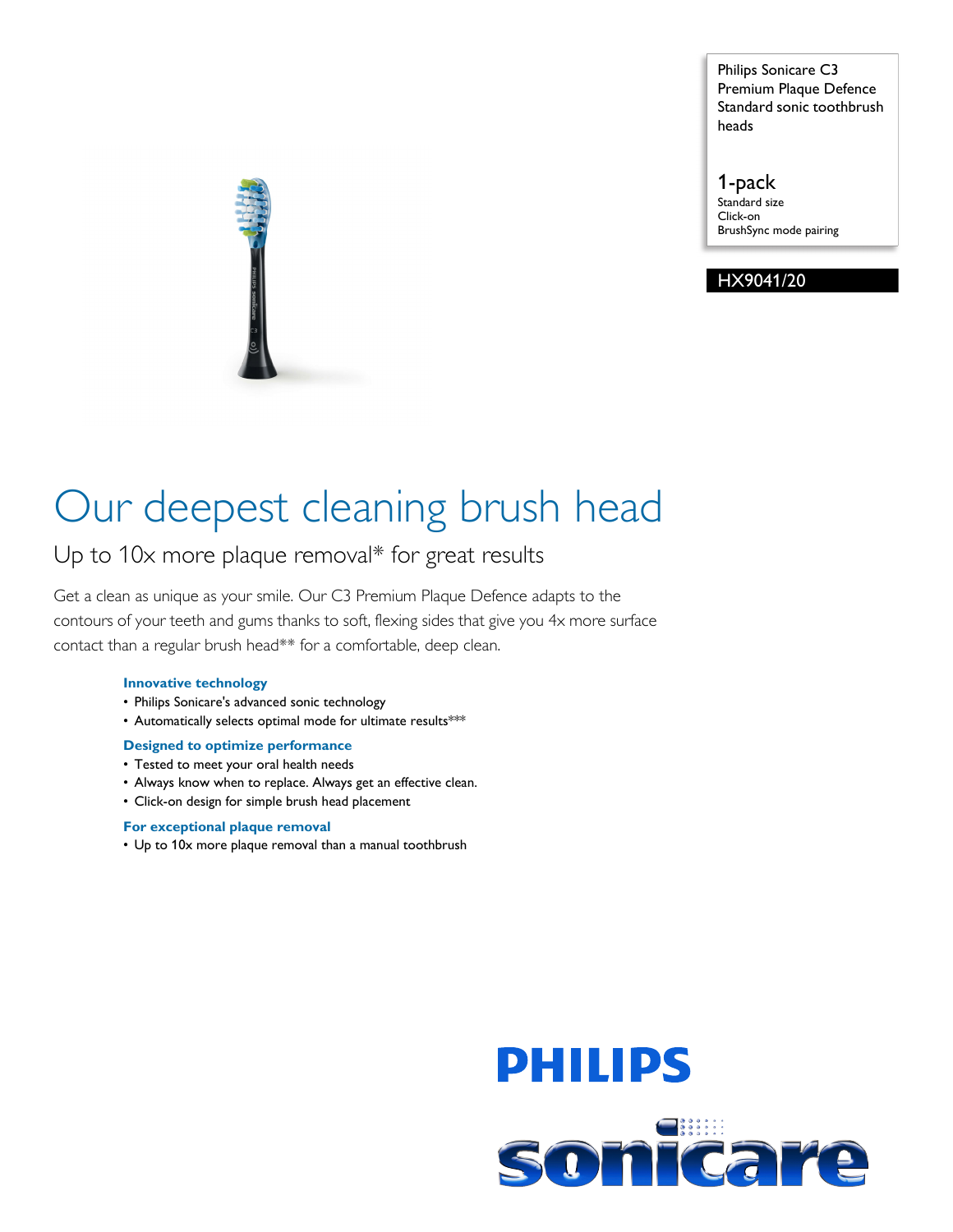Philips Sonicare C3 Premium Plaque Defence Standard sonic toothbrush heads

1-pack Standard size Click-on BrushSync mode pairing

### HX9041/20

# Our deepest cleaning brush head

### Up to 10x more plaque removal\* for great results

Get a clean as unique as your smile. Our C3 Premium Plaque Defence adapts to the contours of your teeth and gums thanks to soft, flexing sides that give you 4x more surface contact than a regular brush head\*\* for a comfortable, deep clean.

#### **Innovative technology**

- Philips Sonicare's advanced sonic technology
- Automatically selects optimal mode for ultimate results\*\*\*

#### **Designed to optimize performance**

- Tested to meet your oral health needs
- Always know when to replace. Always get an effective clean.
- Click-on design for simple brush head placement

#### **For exceptional plaque removal**

• Up to 10x more plaque removal than a manual toothbrush